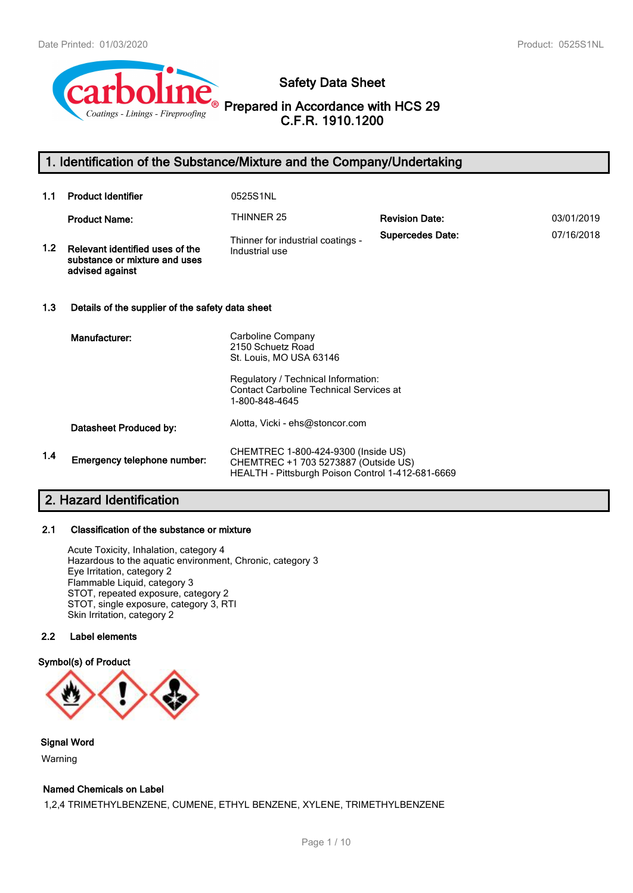

# **Safety Data Sheet**

**Prepared in Accordance with HCS 29 C.F.R. 1910.1200**

# **1. Identification of the Substance/Mixture and the Company/Undertaking**

| 1.1 | <b>Product Identifier</b>                                                           | 0525S1NL                                                                                                                                                                     |                         |            |
|-----|-------------------------------------------------------------------------------------|------------------------------------------------------------------------------------------------------------------------------------------------------------------------------|-------------------------|------------|
|     | <b>Product Name:</b>                                                                | THINNER 25                                                                                                                                                                   | <b>Revision Date:</b>   | 03/01/2019 |
| 1.2 | Relevant identified uses of the<br>substance or mixture and uses<br>advised against | Thinner for industrial coatings -<br>Industrial use                                                                                                                          | <b>Supercedes Date:</b> | 07/16/2018 |
| 1.3 | Details of the supplier of the safety data sheet                                    |                                                                                                                                                                              |                         |            |
|     | Manufacturer:                                                                       | Carboline Company<br>2150 Schuetz Road<br>St. Louis, MO USA 63146<br>Regulatory / Technical Information:<br><b>Contact Carboline Technical Services at</b><br>1-800-848-4645 |                         |            |
|     | Datasheet Produced by:                                                              | Alotta, Vicki - ehs@stoncor.com                                                                                                                                              |                         |            |
| 1.4 | Emergency telephone number:                                                         | CHEMTREC 1-800-424-9300 (Inside US)<br>CHEMTREC +1 703 5273887 (Outside US)<br>HEALTH - Pittsburgh Poison Control 1-412-681-6669                                             |                         |            |

# **2. Hazard Identification**

#### **2.1 Classification of the substance or mixture**

Acute Toxicity, Inhalation, category 4 Hazardous to the aquatic environment, Chronic, category 3 Eye Irritation, category 2 Flammable Liquid, category 3 STOT, repeated exposure, category 2 STOT, single exposure, category 3, RTI Skin Irritation, category 2

# **2.2 Label elements**

## **Symbol(s) of Product**



**Signal Word** Warning

#### **Named Chemicals on Label**

1,2,4 TRIMETHYLBENZENE, CUMENE, ETHYL BENZENE, XYLENE, TRIMETHYLBENZENE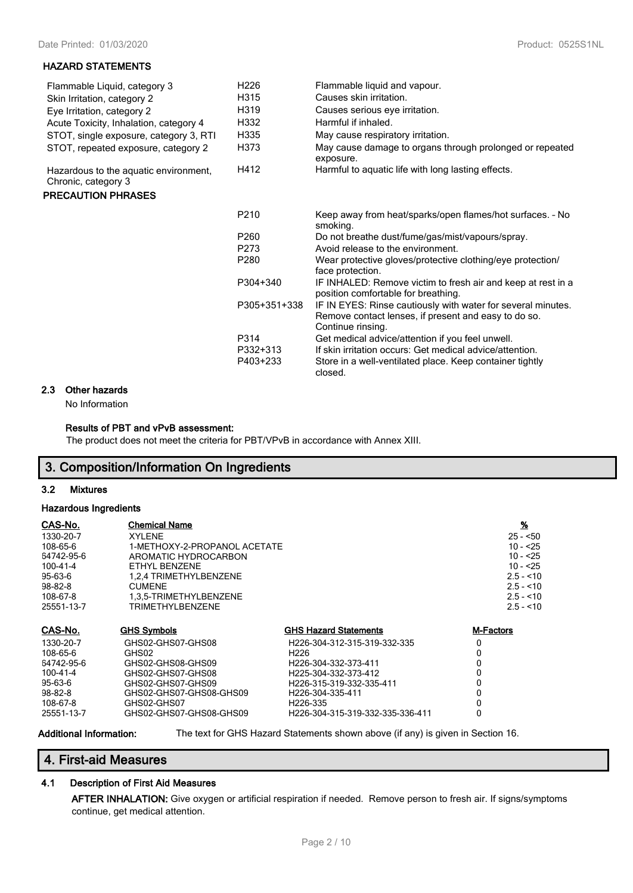#### **HAZARD STATEMENTS**

| Flammable Liquid, category 3<br>Skin Irritation, category 2  | H <sub>226</sub><br>H315     | Flammable liquid and vapour.<br>Causes skin irritation.                                                                                                                             |
|--------------------------------------------------------------|------------------------------|-------------------------------------------------------------------------------------------------------------------------------------------------------------------------------------|
| Eye Irritation, category 2                                   | H <sub>3</sub> 19            | Causes serious eye irritation.                                                                                                                                                      |
| Acute Toxicity, Inhalation, category 4                       | H332                         | Harmful if inhaled.                                                                                                                                                                 |
| STOT, single exposure, category 3, RTI                       | H335                         | May cause respiratory irritation.                                                                                                                                                   |
| STOT, repeated exposure, category 2                          | H373                         | May cause damage to organs through prolonged or repeated<br>exposure.                                                                                                               |
| Hazardous to the aquatic environment,<br>Chronic, category 3 | H412                         | Harmful to aquatic life with long lasting effects.                                                                                                                                  |
| <b>PRECAUTION PHRASES</b>                                    |                              |                                                                                                                                                                                     |
|                                                              | P <sub>210</sub>             | Keep away from heat/sparks/open flames/hot surfaces. - No<br>smoking.                                                                                                               |
|                                                              | P <sub>260</sub>             | Do not breathe dust/fume/gas/mist/vapours/spray.                                                                                                                                    |
|                                                              | P <sub>273</sub>             | Avoid release to the environment.                                                                                                                                                   |
|                                                              | P <sub>280</sub>             | Wear protective gloves/protective clothing/eye protection/<br>face protection.                                                                                                      |
|                                                              | P304+340                     | IF INHALED: Remove victim to fresh air and keep at rest in a<br>position comfortable for breathing.                                                                                 |
|                                                              | P305+351+338                 | IF IN EYES: Rinse cautiously with water for several minutes.<br>Remove contact lenses, if present and easy to do so.<br>Continue rinsing.                                           |
|                                                              | P314<br>P332+313<br>P403+233 | Get medical advice/attention if you feel unwell.<br>If skin irritation occurs: Get medical advice/attention.<br>Store in a well-ventilated place. Keep container tightly<br>closed. |

# **2.3 Other hazards**

No Information

### **Results of PBT and vPvB assessment:**

The product does not meet the criteria for PBT/VPvB in accordance with Annex XIII.

# **3. Composition/Information On Ingredients**

#### **3.2 Mixtures**

#### **Hazardous Ingredients**

| CAS-No.        | <b>Chemical Name</b>         |                                  | $\frac{9}{6}$    |
|----------------|------------------------------|----------------------------------|------------------|
| 1330-20-7      | <b>XYLENE</b>                |                                  | $25 - 50$        |
| 108-65-6       | 1-METHOXY-2-PROPANOL ACETATE |                                  | 10 - <25         |
| 64742-95-6     | AROMATIC HYDROCARBON         |                                  | $10 - 25$        |
| $100 - 41 - 4$ | ETHYL BENZENE                |                                  | $10 - 25$        |
| 95-63-6        | 1.2.4 TRIMETHYLBENZENE       |                                  | $2.5 - 10$       |
| 98-82-8        | <b>CUMENE</b>                |                                  | $2.5 - 10$       |
| 108-67-8       | 1.3.5-TRIMETHYLBENZENE       |                                  | $2.5 - 10$       |
| 25551-13-7     | TRIMETHYLBENZENE             |                                  | $2.5 - 10$       |
| CAS-No.        | <b>GHS Symbols</b>           | <b>GHS Hazard Statements</b>     | <b>M-Factors</b> |
| 1330-20-7      | GHS02-GHS07-GHS08            | H226-304-312-315-319-332-335     | 0                |
| 108-65-6       | GHS02                        | H <sub>226</sub>                 | 0                |
| 64742-95-6     | GHS02-GHS08-GHS09            | H226-304-332-373-411             | 0                |
| 100-41-4       | GHS02-GHS07-GHS08            | H225-304-332-373-412             | 0                |
| 95-63-6        | GHS02-GHS07-GHS09            | H226-315-319-332-335-411         | 0                |
| $98 - 82 - 8$  | GHS02-GHS07-GHS08-GHS09      | H <sub>226</sub> -304-335-411    | 0                |
| 108-67-8       | GHS02-GHS07                  | H226-335                         |                  |
| 25551-13-7     | GHS02-GHS07-GHS08-GHS09      | H226-304-315-319-332-335-336-411 | 0                |

**Additional Information:** The text for GHS Hazard Statements shown above (if any) is given in Section 16.

# **4. First-aid Measures**

#### **4.1 Description of First Aid Measures**

**AFTER INHALATION:** Give oxygen or artificial respiration if needed. Remove person to fresh air. If signs/symptoms continue, get medical attention.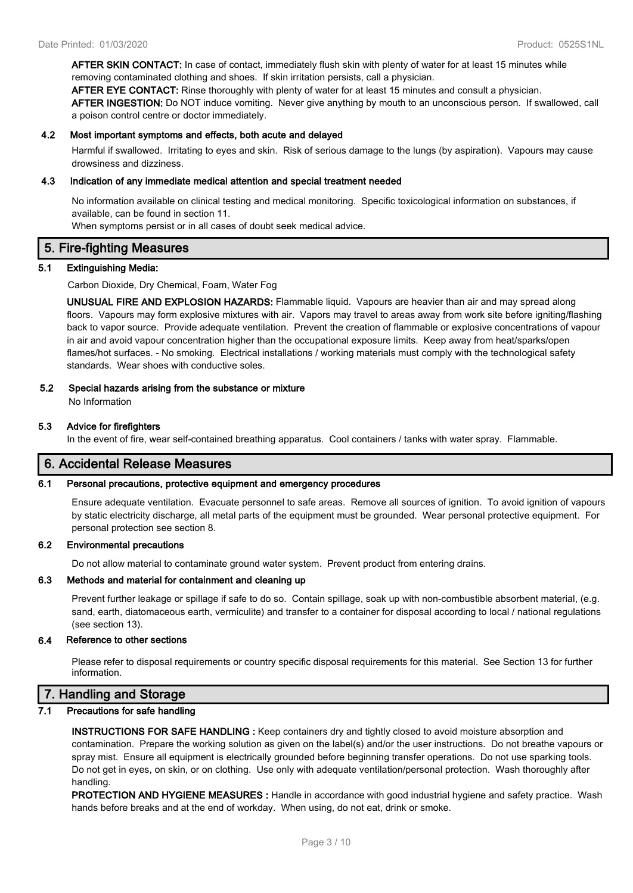**AFTER SKIN CONTACT:** In case of contact, immediately flush skin with plenty of water for at least 15 minutes while removing contaminated clothing and shoes. If skin irritation persists, call a physician.

**AFTER EYE CONTACT:** Rinse thoroughly with plenty of water for at least 15 minutes and consult a physician. **AFTER INGESTION:** Do NOT induce vomiting. Never give anything by mouth to an unconscious person. If swallowed, call a poison control centre or doctor immediately.

#### **4.2 Most important symptoms and effects, both acute and delayed**

Harmful if swallowed. Irritating to eyes and skin. Risk of serious damage to the lungs (by aspiration). Vapours may cause drowsiness and dizziness.

#### **4.3 Indication of any immediate medical attention and special treatment needed**

No information available on clinical testing and medical monitoring. Specific toxicological information on substances, if available, can be found in section 11.

When symptoms persist or in all cases of doubt seek medical advice.

### **5. Fire-fighting Measures**

#### **5.1 Extinguishing Media:**

Carbon Dioxide, Dry Chemical, Foam, Water Fog

**UNUSUAL FIRE AND EXPLOSION HAZARDS:** Flammable liquid. Vapours are heavier than air and may spread along floors. Vapours may form explosive mixtures with air. Vapors may travel to areas away from work site before igniting/flashing back to vapor source. Provide adequate ventilation. Prevent the creation of flammable or explosive concentrations of vapour in air and avoid vapour concentration higher than the occupational exposure limits. Keep away from heat/sparks/open flames/hot surfaces. - No smoking. Electrical installations / working materials must comply with the technological safety standards. Wear shoes with conductive soles.

## **5.2 Special hazards arising from the substance or mixture**

No Information

#### **5.3 Advice for firefighters**

In the event of fire, wear self-contained breathing apparatus. Cool containers / tanks with water spray. Flammable.

# **6. Accidental Release Measures**

#### **6.1 Personal precautions, protective equipment and emergency procedures**

Ensure adequate ventilation. Evacuate personnel to safe areas. Remove all sources of ignition. To avoid ignition of vapours by static electricity discharge, all metal parts of the equipment must be grounded. Wear personal protective equipment. For personal protection see section 8.

#### **6.2 Environmental precautions**

Do not allow material to contaminate ground water system. Prevent product from entering drains.

#### **6.3 Methods and material for containment and cleaning up**

Prevent further leakage or spillage if safe to do so. Contain spillage, soak up with non-combustible absorbent material, (e.g. sand, earth, diatomaceous earth, vermiculite) and transfer to a container for disposal according to local / national regulations (see section 13).

#### **6.4 Reference to other sections**

Please refer to disposal requirements or country specific disposal requirements for this material. See Section 13 for further information.

# **7. Handling and Storage**

#### **7.1 Precautions for safe handling**

**INSTRUCTIONS FOR SAFE HANDLING :** Keep containers dry and tightly closed to avoid moisture absorption and contamination. Prepare the working solution as given on the label(s) and/or the user instructions. Do not breathe vapours or spray mist. Ensure all equipment is electrically grounded before beginning transfer operations. Do not use sparking tools. Do not get in eyes, on skin, or on clothing. Use only with adequate ventilation/personal protection. Wash thoroughly after handling.

**PROTECTION AND HYGIENE MEASURES :** Handle in accordance with good industrial hygiene and safety practice. Wash hands before breaks and at the end of workday. When using, do not eat, drink or smoke.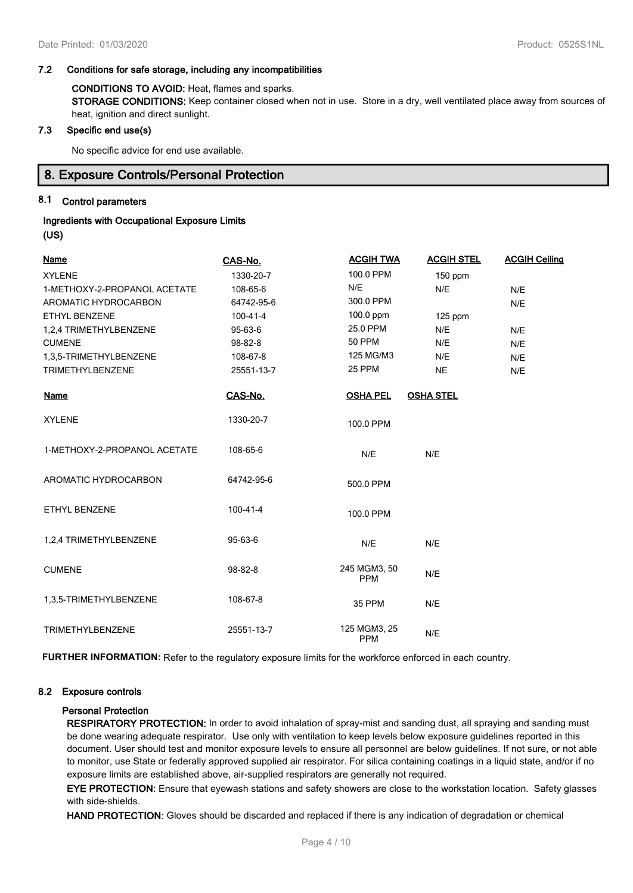# **7.2 Conditions for safe storage, including any incompatibilities**

**CONDITIONS TO AVOID:** Heat, flames and sparks. **STORAGE CONDITIONS:** Keep container closed when not in use. Store in a dry, well ventilated place away from sources of heat, ignition and direct sunlight.

#### **7.3 Specific end use(s)**

No specific advice for end use available.

# **8. Exposure Controls/Personal Protection**

# **8.1 Control parameters**

# **Ingredients with Occupational Exposure Limits (US)**

| <b>Name</b>                  | CAS-No.        | <b>ACGIH TWA</b>           | <b>ACGIH STEL</b> | <b>ACGIH Ceiling</b> |
|------------------------------|----------------|----------------------------|-------------------|----------------------|
| <b>XYLENE</b>                | 1330-20-7      | 100.0 PPM                  | $150$ ppm         |                      |
| 1-METHOXY-2-PROPANOL ACETATE | 108-65-6       | N/E                        | N/E               | N/E                  |
| AROMATIC HYDROCARBON         | 64742-95-6     | 300.0 PPM                  |                   | N/E                  |
| ETHYL BENZENE                | $100 - 41 - 4$ | 100.0 ppm                  | 125 ppm           |                      |
| 1,2,4 TRIMETHYLBENZENE       | 95-63-6        | 25.0 PPM                   | N/E               | N/E                  |
| <b>CUMENE</b>                | 98-82-8        | <b>50 PPM</b>              | N/E               | N/E                  |
| 1,3,5-TRIMETHYLBENZENE       | 108-67-8       | 125 MG/M3                  | N/E               | N/E                  |
| <b>TRIMETHYLBENZENE</b>      | 25551-13-7     | 25 PPM                     | <b>NE</b>         | N/E                  |
| <b>Name</b>                  | CAS-No.        | <b>OSHA PEL</b>            | <b>OSHA STEL</b>  |                      |
| <b>XYLENE</b>                | 1330-20-7      | 100.0 PPM                  |                   |                      |
| 1-METHOXY-2-PROPANOL ACETATE | 108-65-6       | N/E                        | N/E               |                      |
| AROMATIC HYDROCARBON         | 64742-95-6     | 500.0 PPM                  |                   |                      |
| ETHYL BENZENE                | 100-41-4       | 100.0 PPM                  |                   |                      |
| 1,2,4 TRIMETHYLBENZENE       | 95-63-6        | N/E                        | N/E               |                      |
| <b>CUMENE</b>                | 98-82-8        | 245 MGM3, 50<br><b>PPM</b> | N/E               |                      |
| 1,3,5-TRIMETHYLBENZENE       | 108-67-8       | 35 PPM                     | N/E               |                      |
| <b>TRIMETHYLBENZENE</b>      | 25551-13-7     | 125 MGM3, 25<br><b>PPM</b> | N/E               |                      |

**FURTHER INFORMATION:** Refer to the regulatory exposure limits for the workforce enforced in each country.

#### **8.2 Exposure controls**

#### **Personal Protection**

**RESPIRATORY PROTECTION:** In order to avoid inhalation of spray-mist and sanding dust, all spraying and sanding must be done wearing adequate respirator. Use only with ventilation to keep levels below exposure guidelines reported in this document. User should test and monitor exposure levels to ensure all personnel are below guidelines. If not sure, or not able to monitor, use State or federally approved supplied air respirator. For silica containing coatings in a liquid state, and/or if no exposure limits are established above, air-supplied respirators are generally not required.

**EYE PROTECTION:** Ensure that eyewash stations and safety showers are close to the workstation location. Safety glasses with side-shields.

**HAND PROTECTION:** Gloves should be discarded and replaced if there is any indication of degradation or chemical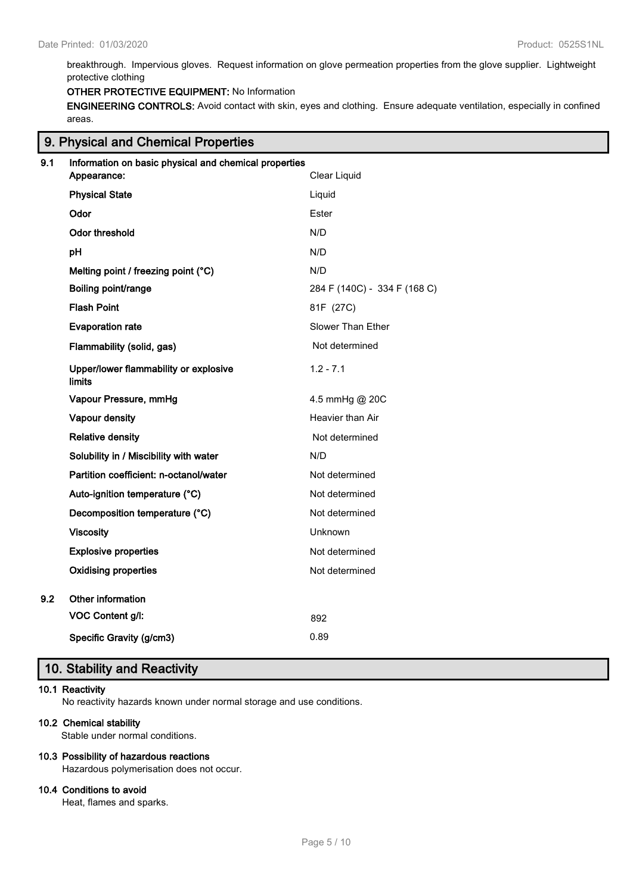breakthrough. Impervious gloves. Request information on glove permeation properties from the glove supplier. Lightweight protective clothing

#### **OTHER PROTECTIVE EQUIPMENT:** No Information

**ENGINEERING CONTROLS:** Avoid contact with skin, eyes and clothing. Ensure adequate ventilation, especially in confined areas.

|     | 9. Physical and Chemical Properties                   |                              |  |  |
|-----|-------------------------------------------------------|------------------------------|--|--|
| 9.1 | Information on basic physical and chemical properties |                              |  |  |
|     | Appearance:                                           | Clear Liquid                 |  |  |
|     | <b>Physical State</b>                                 | Liquid                       |  |  |
|     | Odor                                                  | Ester                        |  |  |
|     | Odor threshold                                        | N/D                          |  |  |
|     | pН                                                    | N/D                          |  |  |
|     | Melting point / freezing point (°C)                   | N/D                          |  |  |
|     | Boiling point/range                                   | 284 F (140C) - 334 F (168 C) |  |  |
|     | <b>Flash Point</b>                                    | 81F (27C)                    |  |  |
|     | <b>Evaporation rate</b>                               | Slower Than Ether            |  |  |
|     | Flammability (solid, gas)                             | Not determined               |  |  |
|     | Upper/lower flammability or explosive<br>limits       | $1.2 - 7.1$                  |  |  |
|     | Vapour Pressure, mmHg                                 | 4.5 mmHg @ 20C               |  |  |
|     | Vapour density                                        | Heavier than Air             |  |  |
|     | <b>Relative density</b>                               | Not determined               |  |  |
|     | Solubility in / Miscibility with water                | N/D                          |  |  |
|     | Partition coefficient: n-octanol/water                | Not determined               |  |  |
|     | Auto-ignition temperature (°C)                        | Not determined               |  |  |
|     | Decomposition temperature (°C)                        | Not determined               |  |  |
|     | <b>Viscosity</b>                                      | Unknown                      |  |  |
|     | <b>Explosive properties</b>                           | Not determined               |  |  |
|     | <b>Oxidising properties</b>                           | Not determined               |  |  |
| 9.2 | Other information                                     |                              |  |  |
|     | VOC Content g/l:                                      | 892                          |  |  |
|     | Specific Gravity (g/cm3)                              | 0.89                         |  |  |

# **10. Stability and Reactivity**

## **10.1 Reactivity**

No reactivity hazards known under normal storage and use conditions.

#### **10.2 Chemical stability**

Stable under normal conditions.

#### **10.3 Possibility of hazardous reactions**

Hazardous polymerisation does not occur.

# **10.4 Conditions to avoid**

Heat, flames and sparks.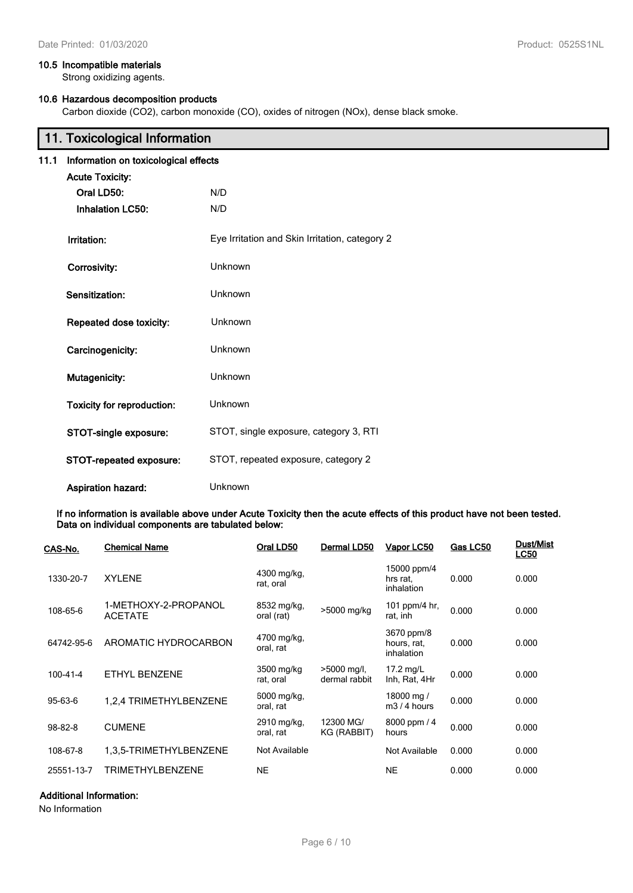#### **10.5 Incompatible materials**

Strong oxidizing agents.

### **10.6 Hazardous decomposition products**

Carbon dioxide (CO2), carbon monoxide (CO), oxides of nitrogen (NOx), dense black smoke.

|      | 11. Toxicological Information        |                                                |  |
|------|--------------------------------------|------------------------------------------------|--|
| 11.1 | Information on toxicological effects |                                                |  |
|      | <b>Acute Toxicity:</b>               |                                                |  |
|      | Oral LD50:                           | N/D                                            |  |
|      | <b>Inhalation LC50:</b>              | N/D                                            |  |
|      | Irritation:                          | Eye Irritation and Skin Irritation, category 2 |  |
|      | Corrosivity:                         | Unknown                                        |  |
|      | Sensitization:                       | Unknown                                        |  |
|      | Repeated dose toxicity:              | Unknown                                        |  |
|      | Carcinogenicity:                     | Unknown                                        |  |
|      | Mutagenicity:                        | Unknown                                        |  |
|      | <b>Toxicity for reproduction:</b>    | <b>Unknown</b>                                 |  |
|      | STOT-single exposure:                | STOT, single exposure, category 3, RTI         |  |
|      | STOT-repeated exposure:              | STOT, repeated exposure, category 2            |  |
|      | <b>Aspiration hazard:</b>            | <b>Unknown</b>                                 |  |

**If no information is available above under Acute Toxicity then the acute effects of this product have not been tested. Data on individual components are tabulated below:**

| CAS-No.    | <b>Chemical Name</b>                   | Oral LD50                 | Dermal LD50                    | Vapor LC50                              | Gas LC50 | Dust/Mist<br><b>LC50</b> |
|------------|----------------------------------------|---------------------------|--------------------------------|-----------------------------------------|----------|--------------------------|
| 1330-20-7  | <b>XYLENE</b>                          | 4300 mg/kg,<br>rat, oral  |                                | 15000 ppm/4<br>hrs rat,<br>inhalation   | 0.000    | 0.000                    |
| 108-65-6   | 1-METHOXY-2-PROPANOL<br><b>ACETATE</b> | 8532 mg/kg,<br>oral (rat) | >5000 mg/kg                    | 101 ppm/4 hr,<br>rat, inh               | 0.000    | 0.000                    |
| 64742-95-6 | AROMATIC HYDROCARBON                   | 4700 mg/kg,<br>oral, rat  |                                | 3670 ppm/8<br>hours, rat,<br>inhalation | 0.000    | 0.000                    |
| 100-41-4   | ETHYL BENZENE                          | 3500 mg/kg<br>rat, oral   | $>5000$ mg/l,<br>dermal rabbit | 17.2 $mg/L$<br>Inh, Rat, 4Hr            | 0.000    | 0.000                    |
| 95-63-6    | 1,2,4 TRIMETHYLBENZENE                 | 6000 mg/kg,<br>oral, rat  |                                | 18000 mg /<br>$m3/4$ hours              | 0.000    | 0.000                    |
| 98-82-8    | <b>CUMENE</b>                          | 2910 mg/kg,<br>oral, rat  | 12300 MG/<br>KG (RABBIT)       | 8000 ppm / 4<br>hours                   | 0.000    | 0.000                    |
| 108-67-8   | 1,3,5-TRIMETHYLBENZENE                 | Not Available             |                                | Not Available                           | 0.000    | 0.000                    |
| 25551-13-7 | <b>TRIMETHYLBENZENE</b>                | <b>NE</b>                 |                                | <b>NE</b>                               | 0.000    | 0.000                    |

### **Additional Information:**

No Information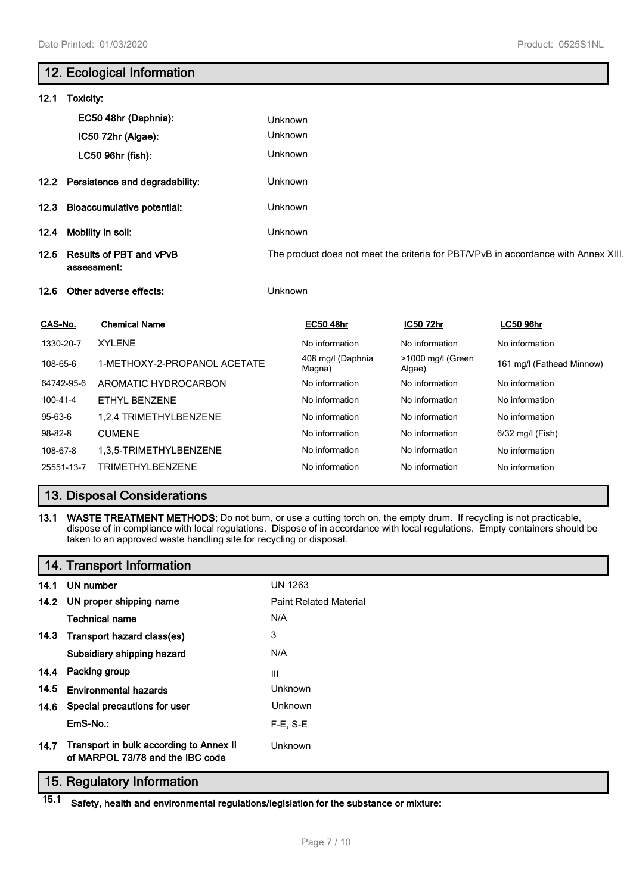# **12. Ecological Information 12.1 Toxicity: EC50 48hr (Daphnia):** Unknown **IC50 72hr (Algae):** Unknown **LC50 96hr (fish):** Unknown **12.2 Persistence and degradability:** Unknown **12.3 Bioaccumulative potential:** Unknown **12.4 Mobility in soil:** Unknown **12.5 Results of PBT and vPvB assessment:** The product does not meet the criteria for PBT/VPvB in accordance with Annex XIII. **12.6 Other adverse effects:** Unknown **CAS-No. Chemical Name EC50 48hr IC50 72hr LC50 96hr** 1330-20-7 XYLENE **No information** No information No information No information No information 108-65-6 1-METHOXY-2-PROPANOL ACETATE 408 mg/l (Daphnia Magna) >1000 mg/l (Green Prood riigh (Green 161 mg/l (Fathead Minnow)<br>Algae) 64742-95-6 AROMATIC HYDROCARBON No information No information No information 100-41-4 ETHYL BENZENE No information No information No information 95-63-6 1.2.4 TRIMETHYLBENZENE No information No information No information No information 98-82-8 CUMENE **No information** No information No information 6/32 mg/l (Fish) 108-67-8 1,3,5-TRIMETHYLBENZENE No information No information No information 25551-13-7 TRIMETHYLBENZENE No information No information No information

# **13. Disposal Considerations**

**13.1 WASTE TREATMENT METHODS:** Do not burn, or use a cutting torch on, the empty drum. If recycling is not practicable, dispose of in compliance with local regulations. Dispose of in accordance with local regulations. Empty containers should be taken to an approved waste handling site for recycling or disposal.

|      | 14. Transport Information                                                   |                               |
|------|-----------------------------------------------------------------------------|-------------------------------|
| 14.1 | UN number                                                                   | <b>UN 1263</b>                |
| 14.2 | UN proper shipping name                                                     | <b>Paint Related Material</b> |
|      | <b>Technical name</b>                                                       | N/A                           |
| 14.3 | Transport hazard class(es)                                                  | 3                             |
|      | Subsidiary shipping hazard                                                  | N/A                           |
| 14.4 | Packing group                                                               | Ш                             |
| 14.5 | <b>Environmental hazards</b>                                                | Unknown                       |
| 14.6 | Special precautions for user                                                | <b>Unknown</b>                |
|      | EmS-No.:                                                                    | $F-E$ , S-E                   |
| 14.7 | Transport in bulk according to Annex II<br>of MARPOL 73/78 and the IBC code | Unknown                       |

# **15. Regulatory Information**

**15.1 Safety, health and environmental regulations/legislation for the substance or mixture:**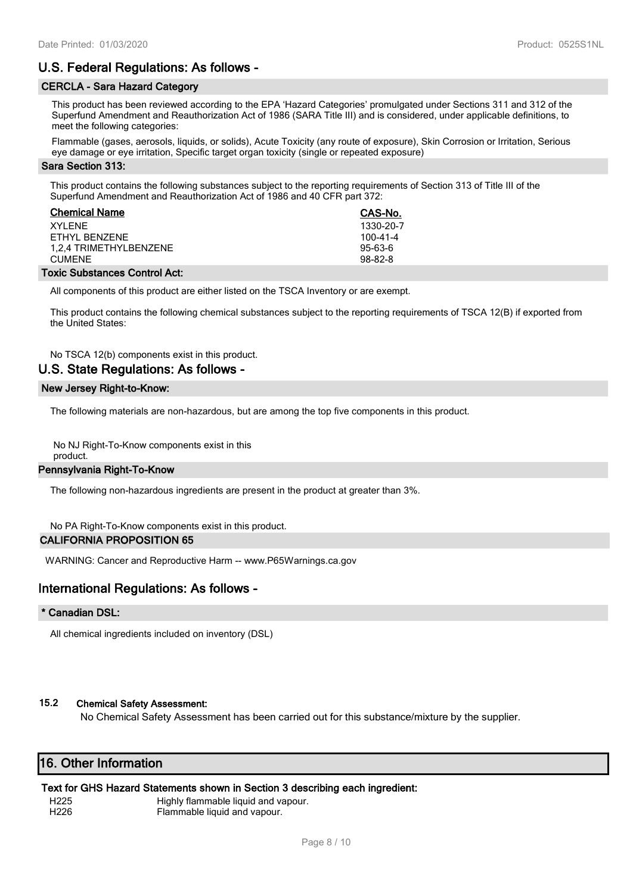# **U.S. Federal Regulations: As follows -**

### **CERCLA - Sara Hazard Category**

This product has been reviewed according to the EPA 'Hazard Categories' promulgated under Sections 311 and 312 of the Superfund Amendment and Reauthorization Act of 1986 (SARA Title III) and is considered, under applicable definitions, to meet the following categories:

Flammable (gases, aerosols, liquids, or solids), Acute Toxicity (any route of exposure), Skin Corrosion or Irritation, Serious eye damage or eye irritation, Specific target organ toxicity (single or repeated exposure)

#### **Sara Section 313:**

This product contains the following substances subject to the reporting requirements of Section 313 of Title III of the Superfund Amendment and Reauthorization Act of 1986 and 40 CFR part 372:

| <b>Chemical Name</b>   | CAS-No.        |
|------------------------|----------------|
| XYI FNF                | 1330-20-7      |
| FTHYL BENZENE          | $100 - 41 - 4$ |
| 1.2.4 TRIMETHYLBENZENE | $95-63-6$      |
| <b>CUMENE</b>          | $98-82-8$      |
|                        |                |

#### **Toxic Substances Control Act:**

All components of this product are either listed on the TSCA Inventory or are exempt.

This product contains the following chemical substances subject to the reporting requirements of TSCA 12(B) if exported from the United States:

# No TSCA 12(b) components exist in this product.

# **U.S. State Regulations: As follows -**

#### **New Jersey Right-to-Know:**

The following materials are non-hazardous, but are among the top five components in this product.

No NJ Right-To-Know components exist in this product.

#### **Pennsylvania Right-To-Know**

The following non-hazardous ingredients are present in the product at greater than 3%.

No PA Right-To-Know components exist in this product.

#### **CALIFORNIA PROPOSITION 65**

WARNING: Cancer and Reproductive Harm -- www.P65Warnings.ca.gov

# **International Regulations: As follows -**

#### **\* Canadian DSL:**

All chemical ingredients included on inventory (DSL)

#### **15.2 Chemical Safety Assessment:**

No Chemical Safety Assessment has been carried out for this substance/mixture by the supplier.

# **16. Other Information**

#### **Text for GHS Hazard Statements shown in Section 3 describing each ingredient:**

H225 Highly flammable liquid and vapour. H226 Flammable liquid and vapour.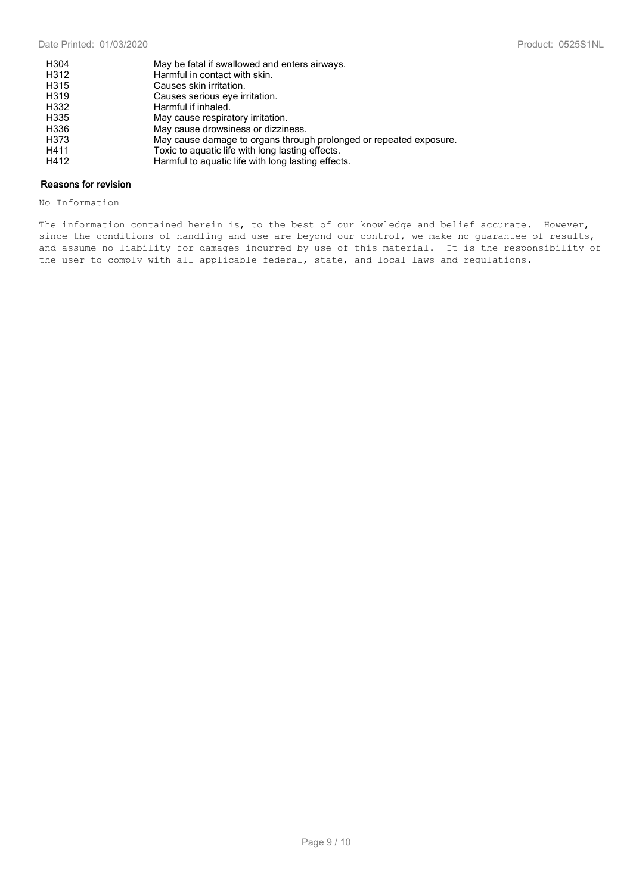| H304 | May be fatal if swallowed and enters airways.                      |
|------|--------------------------------------------------------------------|
| H312 | Harmful in contact with skin.                                      |
| H315 | Causes skin irritation.                                            |
| H319 | Causes serious eye irritation.                                     |
| H332 | Harmful if inhaled.                                                |
| H335 | May cause respiratory irritation.                                  |
| H336 | May cause drowsiness or dizziness.                                 |
| H373 | May cause damage to organs through prolonged or repeated exposure. |
| H411 | Toxic to aguatic life with long lasting effects.                   |
| H412 | Harmful to aquatic life with long lasting effects.                 |

#### **Reasons for revision**

No Information

The information contained herein is, to the best of our knowledge and belief accurate. However, since the conditions of handling and use are beyond our control, we make no guarantee of results, and assume no liability for damages incurred by use of this material. It is the responsibility of the user to comply with all applicable federal, state, and local laws and regulations.